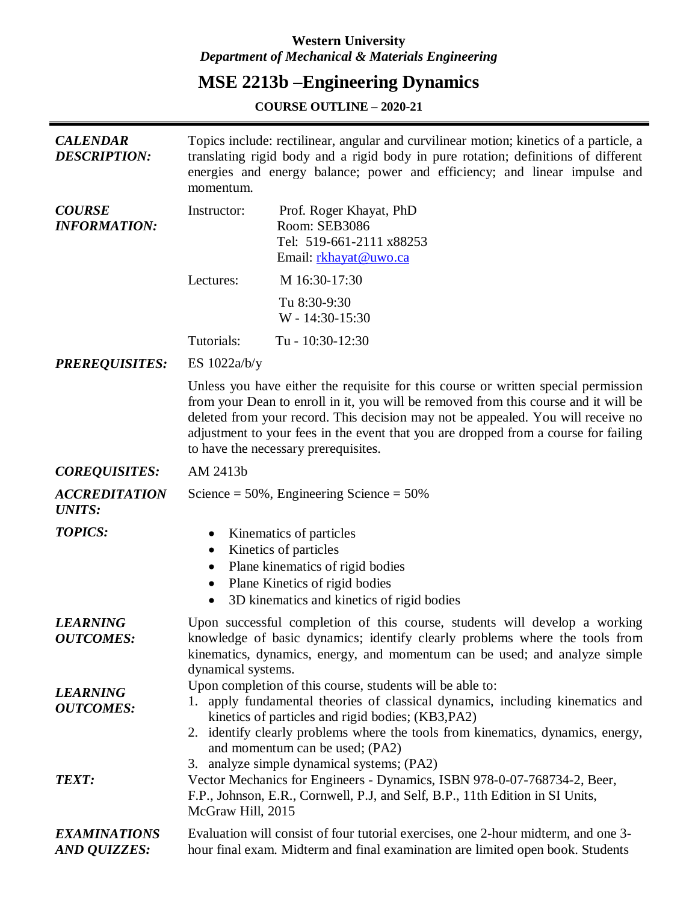## **Western University** *Department of Mechanical & Materials Engineering*

# **MSE 2213b –Engineering Dynamics**

**COURSE OUTLINE – 2020-21**

| <b>CALENDAR</b><br><b>DESCRIPTION:</b> | Topics include: rectilinear, angular and curvilinear motion; kinetics of a particle, a<br>translating rigid body and a rigid body in pure rotation; definitions of different<br>energies and energy balance; power and efficiency; and linear impulse and<br>momentum.                                                                                                                       |                                                                                                                                                                                                                                                                                                                        |  |
|----------------------------------------|----------------------------------------------------------------------------------------------------------------------------------------------------------------------------------------------------------------------------------------------------------------------------------------------------------------------------------------------------------------------------------------------|------------------------------------------------------------------------------------------------------------------------------------------------------------------------------------------------------------------------------------------------------------------------------------------------------------------------|--|
| <b>COURSE</b><br><b>INFORMATION:</b>   | Instructor:                                                                                                                                                                                                                                                                                                                                                                                  | Prof. Roger Khayat, PhD<br>Room: SEB3086<br>Tel: 519-661-2111 x88253<br>Email: rkhayat@uwo.ca                                                                                                                                                                                                                          |  |
|                                        | Lectures:                                                                                                                                                                                                                                                                                                                                                                                    | M 16:30-17:30                                                                                                                                                                                                                                                                                                          |  |
|                                        |                                                                                                                                                                                                                                                                                                                                                                                              | Tu 8:30-9:30<br>W - 14:30-15:30                                                                                                                                                                                                                                                                                        |  |
|                                        | Tutorials:                                                                                                                                                                                                                                                                                                                                                                                   | Tu - 10:30-12:30                                                                                                                                                                                                                                                                                                       |  |
| <b>PREREQUISITES:</b>                  | ES $1022a/b/y$                                                                                                                                                                                                                                                                                                                                                                               |                                                                                                                                                                                                                                                                                                                        |  |
|                                        | Unless you have either the requisite for this course or written special permission<br>from your Dean to enroll in it, you will be removed from this course and it will be<br>deleted from your record. This decision may not be appealed. You will receive no<br>adjustment to your fees in the event that you are dropped from a course for failing<br>to have the necessary prerequisites. |                                                                                                                                                                                                                                                                                                                        |  |
| <b>COREQUISITES:</b>                   | AM 2413b                                                                                                                                                                                                                                                                                                                                                                                     |                                                                                                                                                                                                                                                                                                                        |  |
| <b>ACCREDITATION</b><br><b>UNITS:</b>  |                                                                                                                                                                                                                                                                                                                                                                                              | Science = $50\%$ , Engineering Science = $50\%$                                                                                                                                                                                                                                                                        |  |
| <b>TOPICS:</b>                         | Kinematics of particles<br>Kinetics of particles<br>$\bullet$<br>Plane kinematics of rigid bodies<br>$\bullet$<br>Plane Kinetics of rigid bodies<br>$\bullet$<br>3D kinematics and kinetics of rigid bodies                                                                                                                                                                                  |                                                                                                                                                                                                                                                                                                                        |  |
| <b>LEARNING</b><br><b>OUTCOMES:</b>    | Upon successful completion of this course, students will develop a working<br>knowledge of basic dynamics; identify clearly problems where the tools from<br>kinematics, dynamics, energy, and momentum can be used; and analyze simple<br>dynamical systems.                                                                                                                                |                                                                                                                                                                                                                                                                                                                        |  |
| <b>LEARNING</b><br><b>OUTCOMES:</b>    |                                                                                                                                                                                                                                                                                                                                                                                              | Upon completion of this course, students will be able to:<br>1. apply fundamental theories of classical dynamics, including kinematics and<br>kinetics of particles and rigid bodies; (KB3, PA2)<br>2. identify clearly problems where the tools from kinematics, dynamics, energy,<br>and momentum can be used; (PA2) |  |
| <b>TEXT:</b>                           | McGraw Hill, 2015                                                                                                                                                                                                                                                                                                                                                                            | 3. analyze simple dynamical systems; (PA2)<br>Vector Mechanics for Engineers - Dynamics, ISBN 978-0-07-768734-2, Beer,<br>F.P., Johnson, E.R., Cornwell, P.J, and Self, B.P., 11th Edition in SI Units,                                                                                                                |  |
| <b>EXAMINATIONS</b><br>AND QUIZZES:    |                                                                                                                                                                                                                                                                                                                                                                                              | Evaluation will consist of four tutorial exercises, one 2-hour midterm, and one 3-<br>hour final exam. Midterm and final examination are limited open book. Students                                                                                                                                                   |  |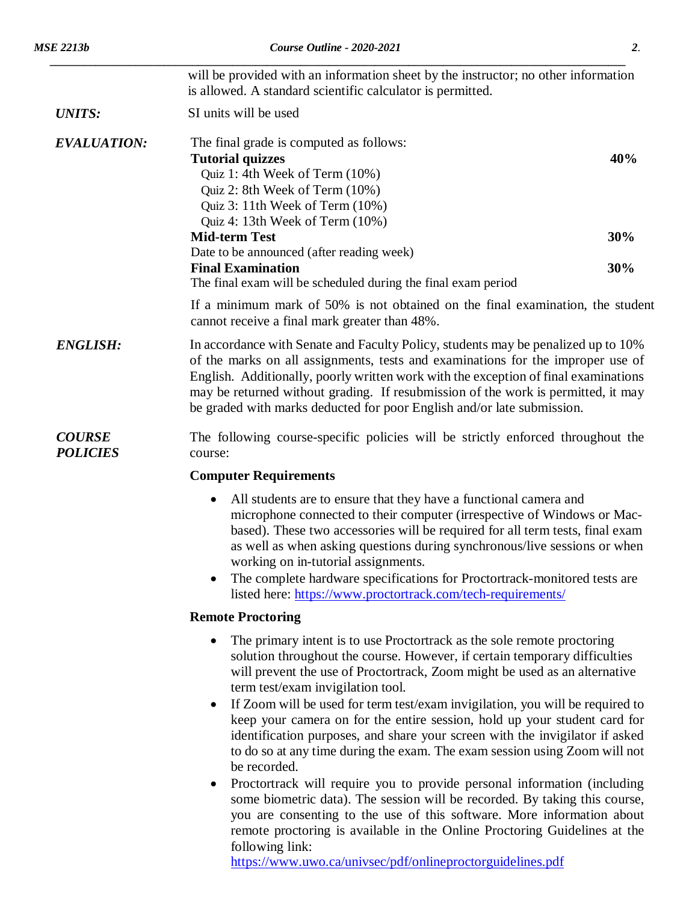|                                  | will be provided with an information sheet by the instructor; no other information<br>is allowed. A standard scientific calculator is permitted.                                                                                                                                                                                                                                                                               |     |  |  |
|----------------------------------|--------------------------------------------------------------------------------------------------------------------------------------------------------------------------------------------------------------------------------------------------------------------------------------------------------------------------------------------------------------------------------------------------------------------------------|-----|--|--|
| <b>UNITS:</b>                    | SI units will be used                                                                                                                                                                                                                                                                                                                                                                                                          |     |  |  |
| <b>EVALUATION:</b>               | The final grade is computed as follows:<br><b>Tutorial quizzes</b><br>Quiz 1: 4th Week of Term (10%)<br>Quiz 2: 8th Week of Term (10%)<br>Quiz 3: 11th Week of Term (10%)<br>Quiz 4: 13th Week of Term (10%)                                                                                                                                                                                                                   | 40% |  |  |
|                                  | <b>Mid-term Test</b>                                                                                                                                                                                                                                                                                                                                                                                                           | 30% |  |  |
|                                  | Date to be announced (after reading week)<br><b>Final Examination</b><br>The final exam will be scheduled during the final exam period                                                                                                                                                                                                                                                                                         | 30% |  |  |
|                                  | If a minimum mark of 50% is not obtained on the final examination, the student<br>cannot receive a final mark greater than 48%.                                                                                                                                                                                                                                                                                                |     |  |  |
| <b>ENGLISH:</b>                  | In accordance with Senate and Faculty Policy, students may be penalized up to 10%<br>of the marks on all assignments, tests and examinations for the improper use of<br>English. Additionally, poorly written work with the exception of final examinations<br>may be returned without grading. If resubmission of the work is permitted, it may<br>be graded with marks deducted for poor English and/or late submission.     |     |  |  |
| <b>COURSE</b><br><b>POLICIES</b> | The following course-specific policies will be strictly enforced throughout the<br>course:                                                                                                                                                                                                                                                                                                                                     |     |  |  |
|                                  | <b>Computer Requirements</b>                                                                                                                                                                                                                                                                                                                                                                                                   |     |  |  |
|                                  | All students are to ensure that they have a functional camera and<br>microphone connected to their computer (irrespective of Windows or Mac-<br>based). These two accessories will be required for all term tests, final exam<br>as well as when asking questions during synchronous/live sessions or when<br>working on in-tutorial assignments.<br>The complete hardware specifications for Proctortrack-monitored tests are |     |  |  |
|                                  | listed here: https://www.proctortrack.com/tech-requirements/                                                                                                                                                                                                                                                                                                                                                                   |     |  |  |
|                                  | <b>Remote Proctoring</b>                                                                                                                                                                                                                                                                                                                                                                                                       |     |  |  |
|                                  | The primary intent is to use Proctortrack as the sole remote proctoring<br>solution throughout the course. However, if certain temporary difficulties                                                                                                                                                                                                                                                                          |     |  |  |

- will prevent the use of Proctortrack, Zoom might be used as an alternative term test/exam invigilation tool.
- If Zoom will be used for term test/exam invigilation, you will be required to keep your camera on for the entire session, hold up your student card for identification purposes, and share your screen with the invigilator if asked to do so at any time during the exam. The exam session using Zoom will not be recorded.
- Proctortrack will require you to provide personal information (including some biometric data). The session will be recorded. By taking this course, you are consenting to the use of this software. More information about remote proctoring is available in the Online Proctoring Guidelines at the following link:

<https://www.uwo.ca/univsec/pdf/onlineproctorguidelines.pdf>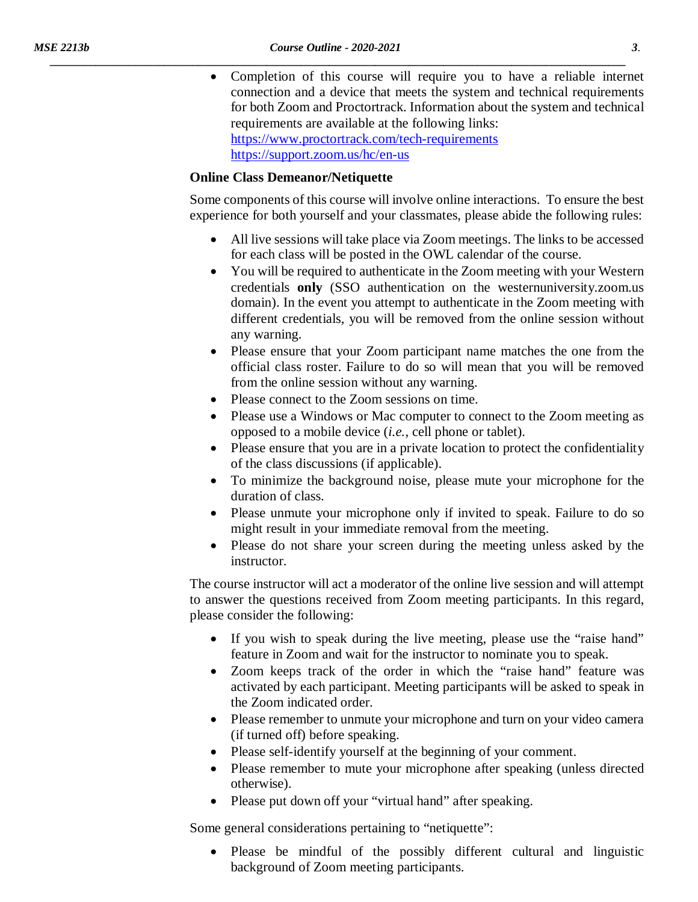• Completion of this course will require you to have a reliable internet connection and a device that meets the system and technical requirements for both Zoom and Proctortrack. Information about the system and technical requirements are available at the following links: <https://www.proctortrack.com/tech-requirements> <https://support.zoom.us/hc/en-us>

#### **Online Class Demeanor/Netiquette**

Some components of this course will involve online interactions. To ensure the best experience for both yourself and your classmates, please abide the following rules:

- All live sessions will take place via Zoom meetings. The links to be accessed for each class will be posted in the OWL calendar of the course.
- You will be required to authenticate in the Zoom meeting with your Western credentials **only** (SSO authentication on the westernuniversity.zoom.us domain). In the event you attempt to authenticate in the Zoom meeting with different credentials, you will be removed from the online session without any warning.
- Please ensure that your Zoom participant name matches the one from the official class roster. Failure to do so will mean that you will be removed from the online session without any warning.
- Please connect to the Zoom sessions on time.
- Please use a Windows or Mac computer to connect to the Zoom meeting as opposed to a mobile device (*i.e.*, cell phone or tablet).
- Please ensure that you are in a private location to protect the confidentiality of the class discussions (if applicable).
- To minimize the background noise, please mute your microphone for the duration of class.
- Please unmute your microphone only if invited to speak. Failure to do so might result in your immediate removal from the meeting.
- Please do not share your screen during the meeting unless asked by the instructor.

The course instructor will act a moderator of the online live session and will attempt to answer the questions received from Zoom meeting participants. In this regard, please consider the following:

- If you wish to speak during the live meeting, please use the "raise hand" feature in Zoom and wait for the instructor to nominate you to speak.
- Zoom keeps track of the order in which the "raise hand" feature was activated by each participant. Meeting participants will be asked to speak in the Zoom indicated order.
- Please remember to unmute your microphone and turn on your video camera (if turned off) before speaking.
- Please self-identify yourself at the beginning of your comment.
- Please remember to mute your microphone after speaking (unless directed otherwise).
- Please put down off your "virtual hand" after speaking.

Some general considerations pertaining to "netiquette":

• Please be mindful of the possibly different cultural and linguistic background of Zoom meeting participants.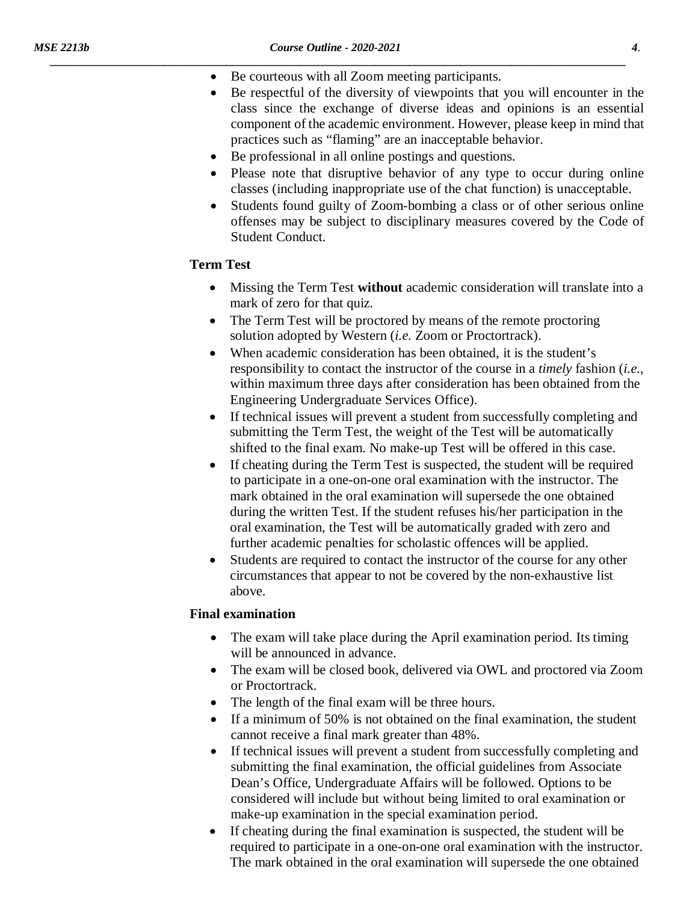- Be courteous with all Zoom meeting participants.
- Be respectful of the diversity of viewpoints that you will encounter in the class since the exchange of diverse ideas and opinions is an essential component of the academic environment. However, please keep in mind that practices such as "flaming" are an inacceptable behavior.
- Be professional in all online postings and questions.
- Please note that disruptive behavior of any type to occur during online classes (including inappropriate use of the chat function) is unacceptable.
- Students found guilty of Zoom-bombing a class or of other serious online offenses may be subject to disciplinary measures covered by the Code of Student Conduct.

#### **Term Test**

- Missing the Term Test **without** academic consideration will translate into a mark of zero for that quiz.
- The Term Test will be proctored by means of the remote proctoring solution adopted by Western (*i.e.* Zoom or Proctortrack).
- When academic consideration has been obtained, it is the student's responsibility to contact the instructor of the course in a *timely* fashion (*i.e.*, within maximum three days after consideration has been obtained from the Engineering Undergraduate Services Office).
- If technical issues will prevent a student from successfully completing and submitting the Term Test, the weight of the Test will be automatically shifted to the final exam. No make-up Test will be offered in this case.
- If cheating during the Term Test is suspected, the student will be required to participate in a one-on-one oral examination with the instructor. The mark obtained in the oral examination will supersede the one obtained during the written Test. If the student refuses his/her participation in the oral examination, the Test will be automatically graded with zero and further academic penalties for scholastic offences will be applied.
- Students are required to contact the instructor of the course for any other circumstances that appear to not be covered by the non-exhaustive list above.

### **Final examination**

- The exam will take place during the April examination period. Its timing will be announced in advance.
- The exam will be closed book, delivered via OWL and proctored via Zoom or Proctortrack.
- The length of the final exam will be three hours.
- If a minimum of 50% is not obtained on the final examination, the student cannot receive a final mark greater than 48%.
- If technical issues will prevent a student from successfully completing and submitting the final examination, the official guidelines from Associate Dean's Office, Undergraduate Affairs will be followed. Options to be considered will include but without being limited to oral examination or make-up examination in the special examination period.
- If cheating during the final examination is suspected, the student will be required to participate in a one-on-one oral examination with the instructor. The mark obtained in the oral examination will supersede the one obtained